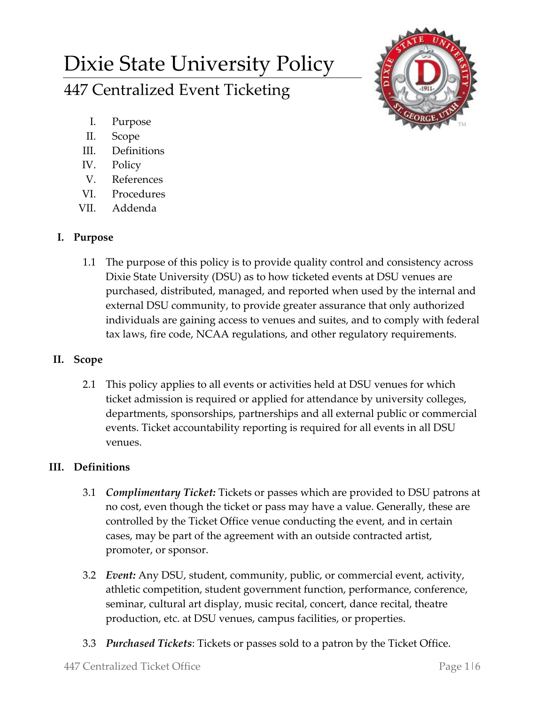# Dixie State University Policy 447 Centralized Event Ticketing



- I. Purpose
- II. Scope
- III. Definitions
- IV. Policy
- V. References
- VI. Procedures
- VII. Addenda

## **I. Purpose**

1.1 The purpose of this policy is to provide quality control and consistency across Dixie State University (DSU) as to how ticketed events at DSU venues are purchased, distributed, managed, and reported when used by the internal and external DSU community, to provide greater assurance that only authorized individuals are gaining access to venues and suites, and to comply with federal tax laws, fire code, NCAA regulations, and other regulatory requirements.

# **II. Scope**

2.1 This policy applies to all events or activities held at DSU venues for which ticket admission is required or applied for attendance by university colleges, departments, sponsorships, partnerships and all external public or commercial events. Ticket accountability reporting is required for all events in all DSU venues.

# **III. Definitions**

- 3.1 *Complimentary Ticket:* Tickets or passes which are provided to DSU patrons at no cost, even though the ticket or pass may have a value. Generally, these are controlled by the Ticket Office venue conducting the event, and in certain cases, may be part of the agreement with an outside contracted artist, promoter, or sponsor.
- 3.2 *Event:* Any DSU, student, community, public, or commercial event, activity, athletic competition, student government function, performance, conference, seminar, cultural art display, music recital, concert, dance recital, theatre production, etc. at DSU venues, campus facilities, or properties.
- 3.3 *Purchased Tickets*: Tickets or passes sold to a patron by the Ticket Office.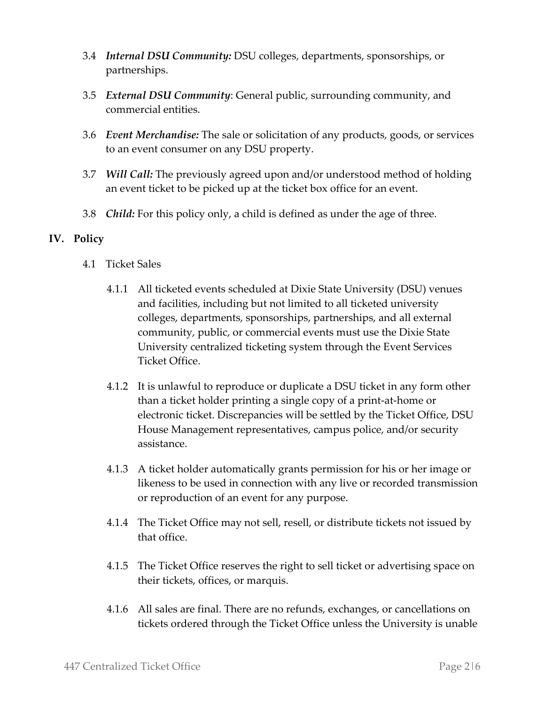- 3.4 *Internal DSU Community:* DSU colleges, departments, sponsorships, or partnerships.
- 3.5 *External DSU Community*: General public, surrounding community, and commercial entities.
- 3.6 *Event Merchandise:* The sale or solicitation of any products, goods, or services to an event consumer on any DSU property.
- 3.7 *Will Call:* The previously agreed upon and/or understood method of holding an event ticket to be picked up at the ticket box office for an event.
- 3.8 *Child:* For this policy only, a child is defined as under the age of three.

## **IV. Policy**

- 4.1 Ticket Sales
	- 4.1.1 All ticketed events scheduled at Dixie State University (DSU) venues and facilities, including but not limited to all ticketed university colleges, departments, sponsorships, partnerships, and all external community, public, or commercial events must use the Dixie State University centralized ticketing system through the Event Services Ticket Office.
	- 4.1.2 It is unlawful to reproduce or duplicate a DSU ticket in any form other than a ticket holder printing a single copy of a print-at-home or electronic ticket. Discrepancies will be settled by the Ticket Office, DSU House Management representatives, campus police, and/or security assistance.
	- 4.1.3 A ticket holder automatically grants permission for his or her image or likeness to be used in connection with any live or recorded transmission or reproduction of an event for any purpose.
	- 4.1.4 The Ticket Office may not sell, resell, or distribute tickets not issued by that office.
	- 4.1.5 The Ticket Office reserves the right to sell ticket or advertising space on their tickets, offices, or marquis.
	- 4.1.6 All sales are final. There are no refunds, exchanges, or cancellations on tickets ordered through the Ticket Office unless the University is unable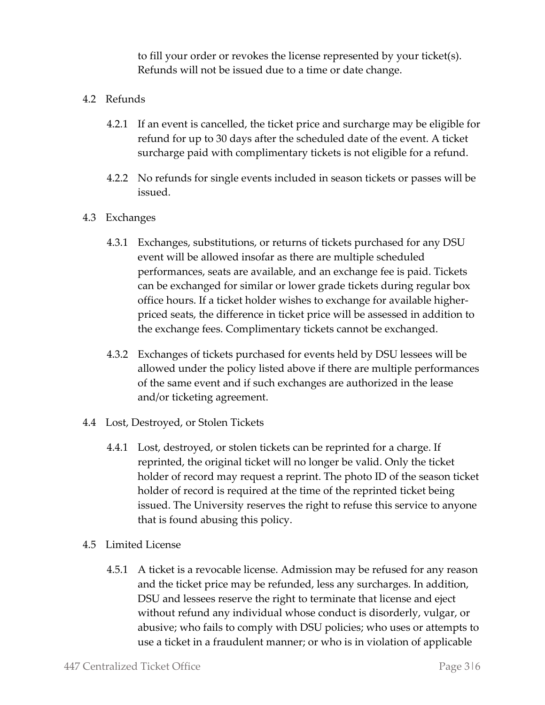to fill your order or revokes the license represented by your ticket(s). Refunds will not be issued due to a time or date change.

- 4.2 Refunds
	- 4.2.1 If an event is cancelled, the ticket price and surcharge may be eligible for refund for up to 30 days after the scheduled date of the event. A ticket surcharge paid with complimentary tickets is not eligible for a refund.
	- 4.2.2 No refunds for single events included in season tickets or passes will be issued.
- 4.3 Exchanges
	- 4.3.1 Exchanges, substitutions, or returns of tickets purchased for any DSU event will be allowed insofar as there are multiple scheduled performances, seats are available, and an exchange fee is paid. Tickets can be exchanged for similar or lower grade tickets during regular box office hours. If a ticket holder wishes to exchange for available higherpriced seats, the difference in ticket price will be assessed in addition to the exchange fees. Complimentary tickets cannot be exchanged.
	- 4.3.2 Exchanges of tickets purchased for events held by DSU lessees will be allowed under the policy listed above if there are multiple performances of the same event and if such exchanges are authorized in the lease and/or ticketing agreement.
- 4.4 Lost, Destroyed, or Stolen Tickets
	- 4.4.1 Lost, destroyed, or stolen tickets can be reprinted for a charge. If reprinted, the original ticket will no longer be valid. Only the ticket holder of record may request a reprint. The photo ID of the season ticket holder of record is required at the time of the reprinted ticket being issued. The University reserves the right to refuse this service to anyone that is found abusing this policy.
- 4.5 Limited License
	- 4.5.1 A ticket is a revocable license. Admission may be refused for any reason and the ticket price may be refunded, less any surcharges. In addition, DSU and lessees reserve the right to terminate that license and eject without refund any individual whose conduct is disorderly, vulgar, or abusive; who fails to comply with DSU policies; who uses or attempts to use a ticket in a fraudulent manner; or who is in violation of applicable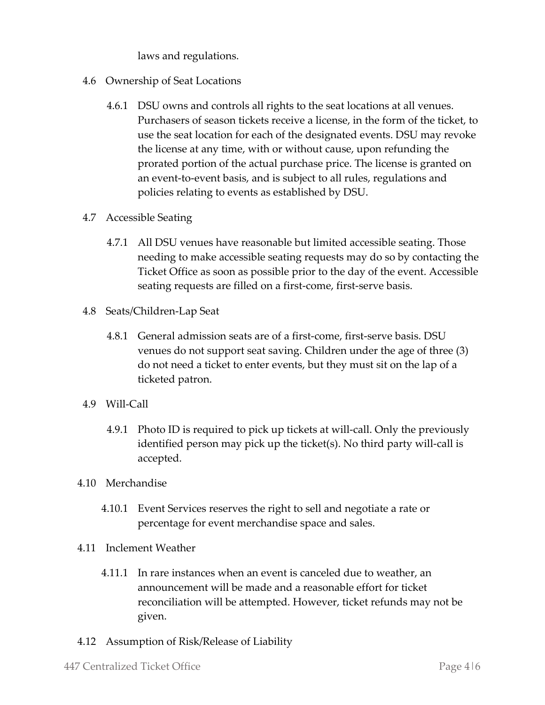laws and regulations.

- 4.6 Ownership of Seat Locations
	- 4.6.1 DSU owns and controls all rights to the seat locations at all venues. Purchasers of season tickets receive a license, in the form of the ticket, to use the seat location for each of the designated events. DSU may revoke the license at any time, with or without cause, upon refunding the prorated portion of the actual purchase price. The license is granted on an event-to-event basis, and is subject to all rules, regulations and policies relating to events as established by DSU.
- 4.7 Accessible Seating
	- 4.7.1 All DSU venues have reasonable but limited accessible seating. Those needing to make accessible seating requests may do so by contacting the Ticket Office as soon as possible prior to the day of the event. Accessible seating requests are filled on a first-come, first-serve basis.
- 4.8 Seats/Children-Lap Seat
	- 4.8.1 General admission seats are of a first-come, first-serve basis. DSU venues do not support seat saving. Children under the age of three (3) do not need a ticket to enter events, but they must sit on the lap of a ticketed patron.
- 4.9 Will-Call
	- 4.9.1 Photo ID is required to pick up tickets at will-call. Only the previously identified person may pick up the ticket(s). No third party will-call is accepted.
- 4.10 Merchandise
	- 4.10.1 Event Services reserves the right to sell and negotiate a rate or percentage for event merchandise space and sales.
- 4.11 Inclement Weather
	- 4.11.1 In rare instances when an event is canceled due to weather, an announcement will be made and a reasonable effort for ticket reconciliation will be attempted. However, ticket refunds may not be given.
- 4.12 Assumption of Risk/Release of Liability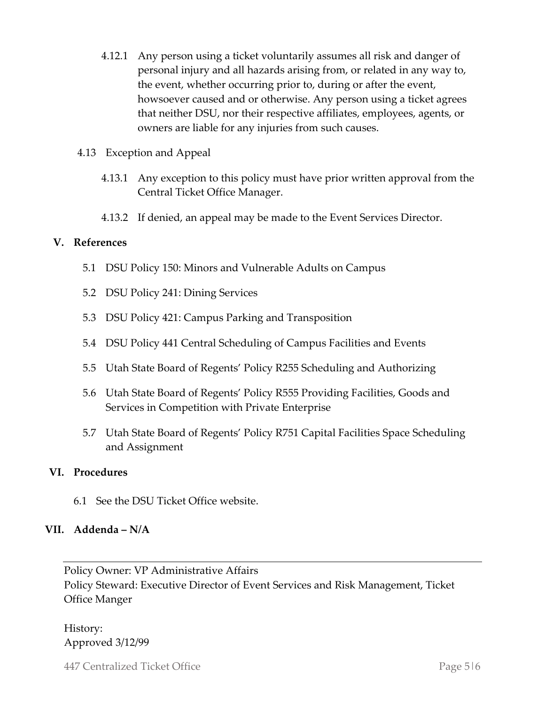- 4.12.1 Any person using a ticket voluntarily assumes all risk and danger of personal injury and all hazards arising from, or related in any way to, the event, whether occurring prior to, during or after the event, howsoever caused and or otherwise. Any person using a ticket agrees that neither DSU, nor their respective affiliates, employees, agents, or owners are liable for any injuries from such causes.
- 4.13 Exception and Appeal
	- 4.13.1 Any exception to this policy must have prior written approval from the Central Ticket Office Manager.
	- 4.13.2 If denied, an appeal may be made to the Event Services Director.

## **V. References**

- 5.1 DSU Policy 150: Minors and Vulnerable Adults on Campus
- 5.2 DSU Policy 241: Dining Services
- 5.3 DSU Policy 421: Campus Parking and Transposition
- 5.4 DSU Policy 441 Central Scheduling of Campus Facilities and Events
- 5.5 Utah State Board of Regents' Policy R255 Scheduling and Authorizing
- 5.6 Utah State Board of Regents' Policy R555 Providing Facilities, Goods and Services in Competition with Private Enterprise
- 5.7 Utah State Board of Regents' Policy R751 Capital Facilities Space Scheduling and Assignment

## **VI. Procedures**

6.1 See the DSU Ticket Office website.

## **VII. Addenda – N/A**

Policy Owner: VP Administrative Affairs Policy Steward: Executive Director of Event Services and Risk Management, Ticket Office Manger

History: Approved 3/12/99

447 Centralized Ticket Office Page 5 | 6